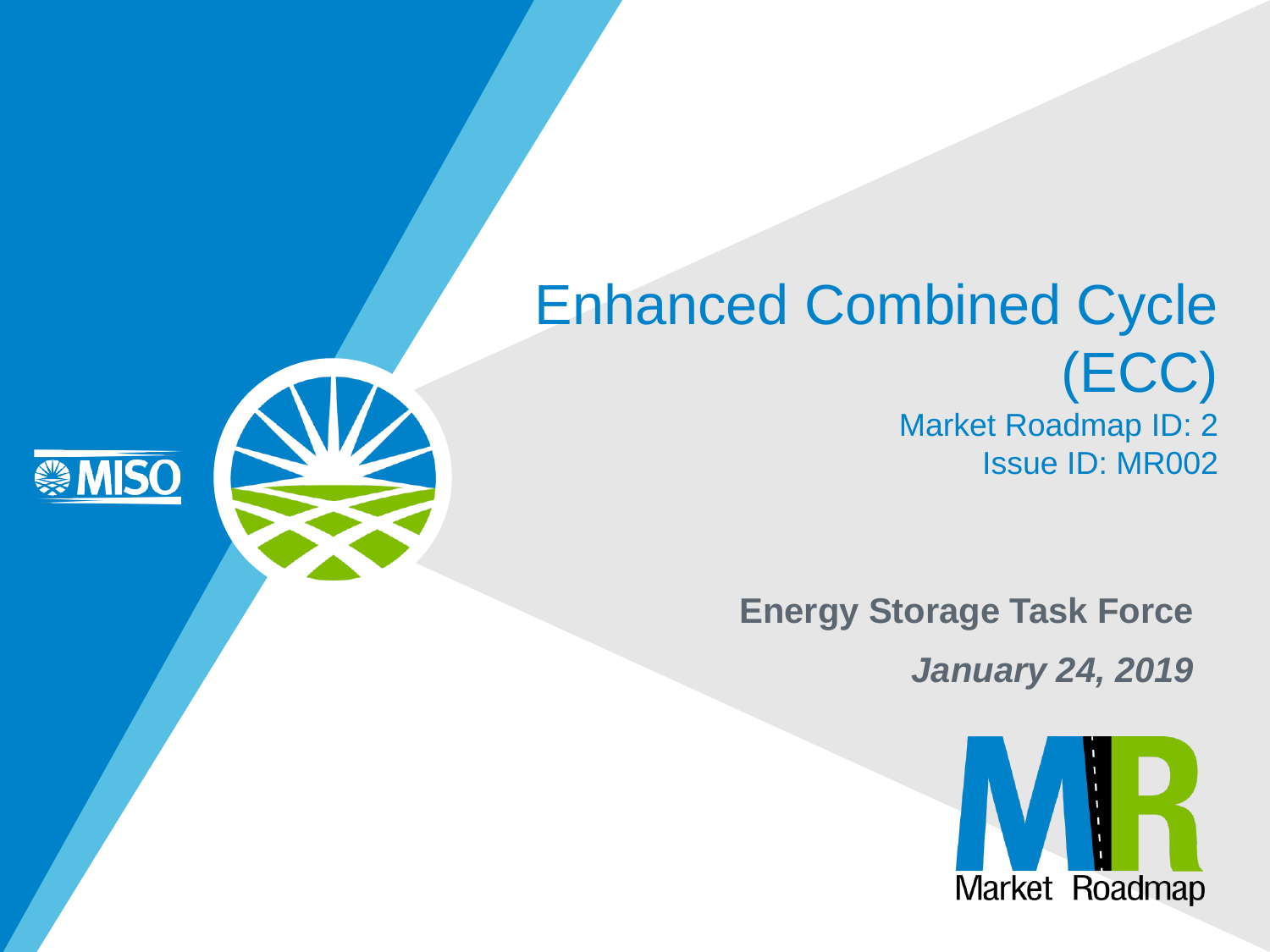#### Enhanced Combined Cycle (ECC) Market Roadmap ID: 2 Issue ID: MR002

**MISO** 

**Energy Storage Task Force**

*January 24, 2019*

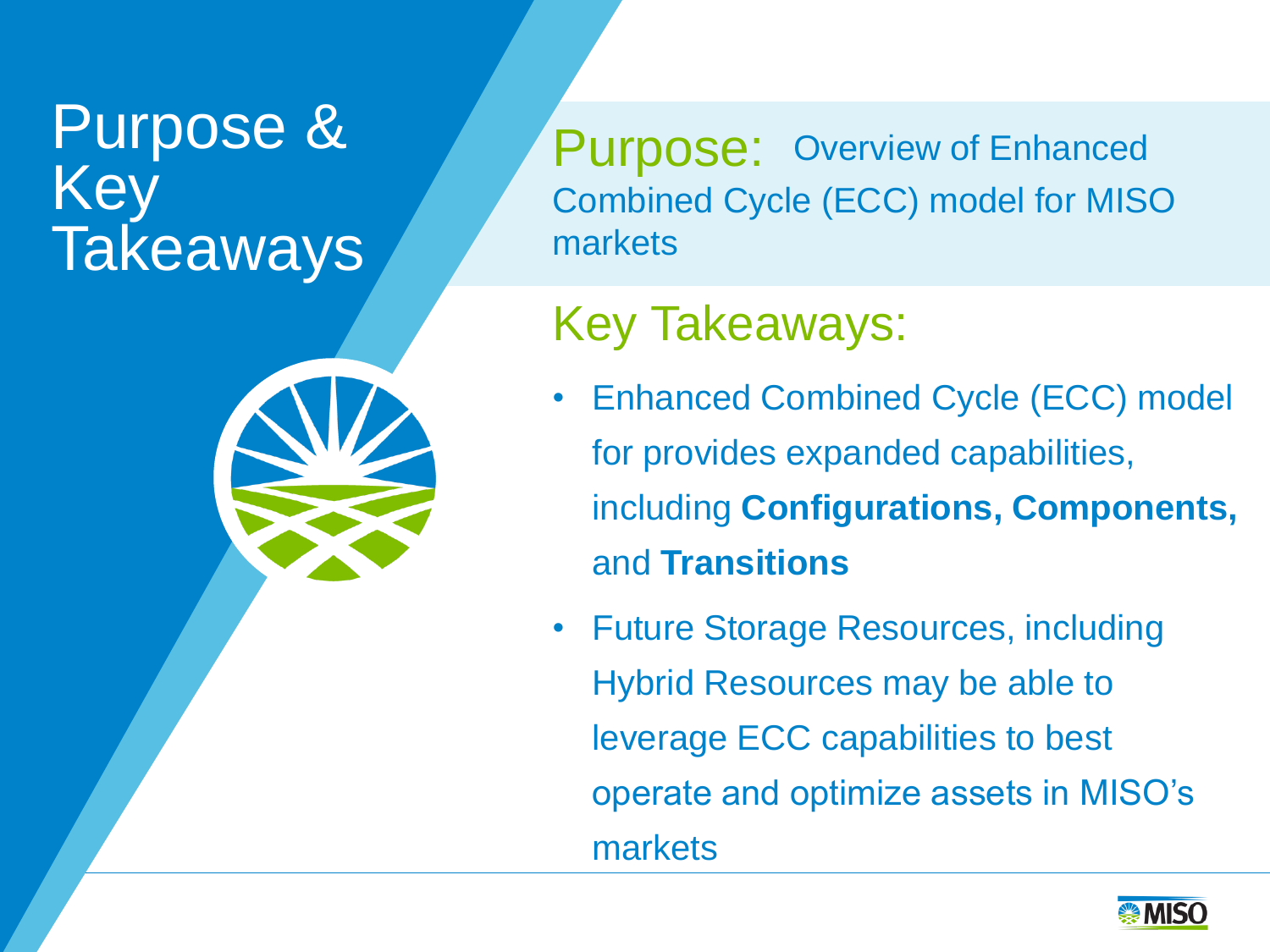### Purpose & Key **Takeaways**



#### Key Takeaways:

- Enhanced Combined Cycle (ECC) model for provides expanded capabilities, including **Configurations, Components,**  and **Transitions**
- Future Storage Resources, including Hybrid Resources may be able to leverage ECC capabilities to best operate and optimize assets in MISO's markets

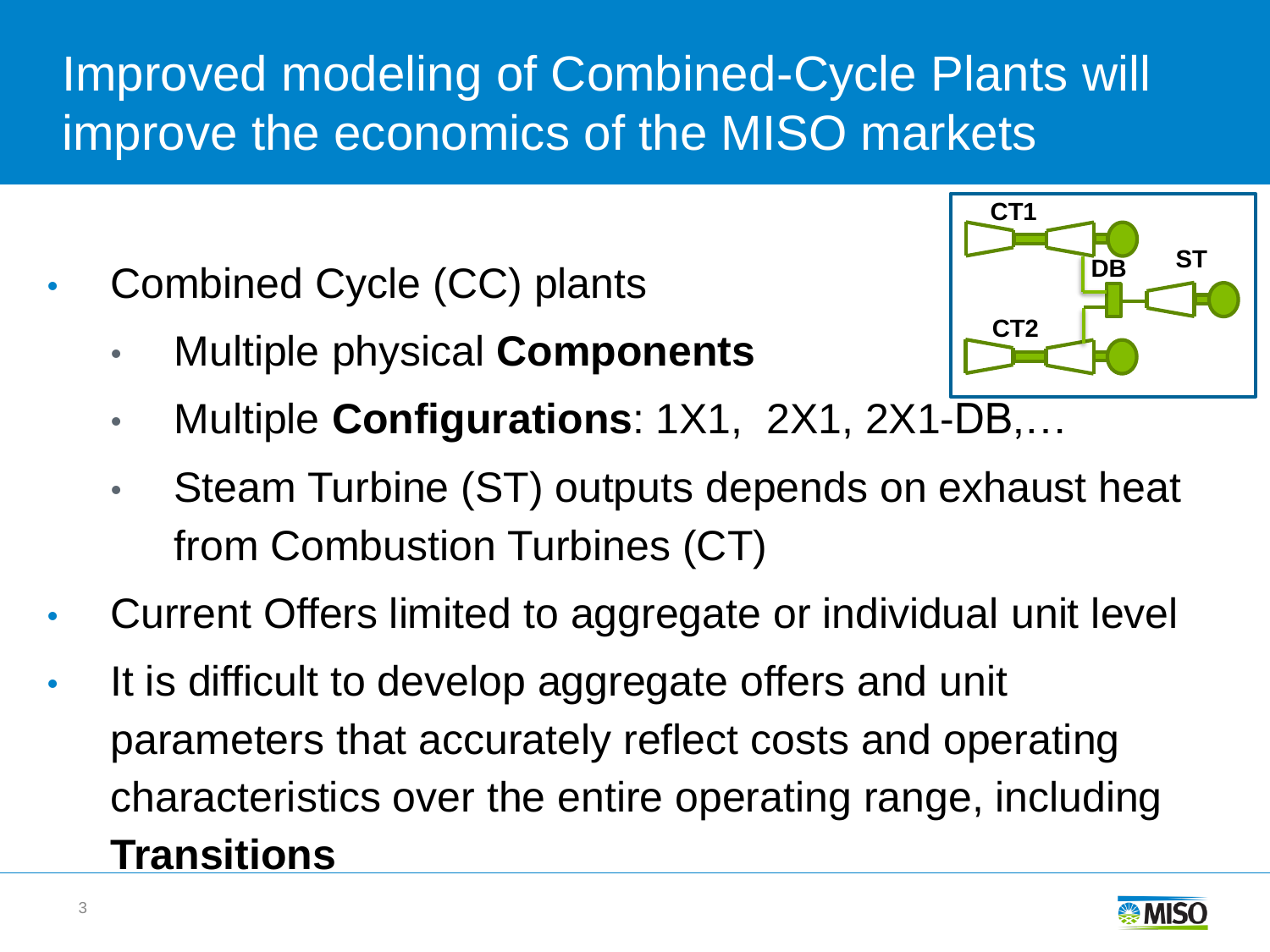#### Improved modeling of Combined-Cycle Plants will improve the economics of the MISO markets

- Combined Cycle (CC) plants
	- Multiple physical **Components**



- Multiple **Configurations**: 1X1, 2X1, 2X1-DB,…
- Steam Turbine (ST) outputs depends on exhaust heat from Combustion Turbines (CT)
- Current Offers limited to aggregate or individual unit level
- It is difficult to develop aggregate offers and unit parameters that accurately reflect costs and operating characteristics over the entire operating range, including **Transitions**

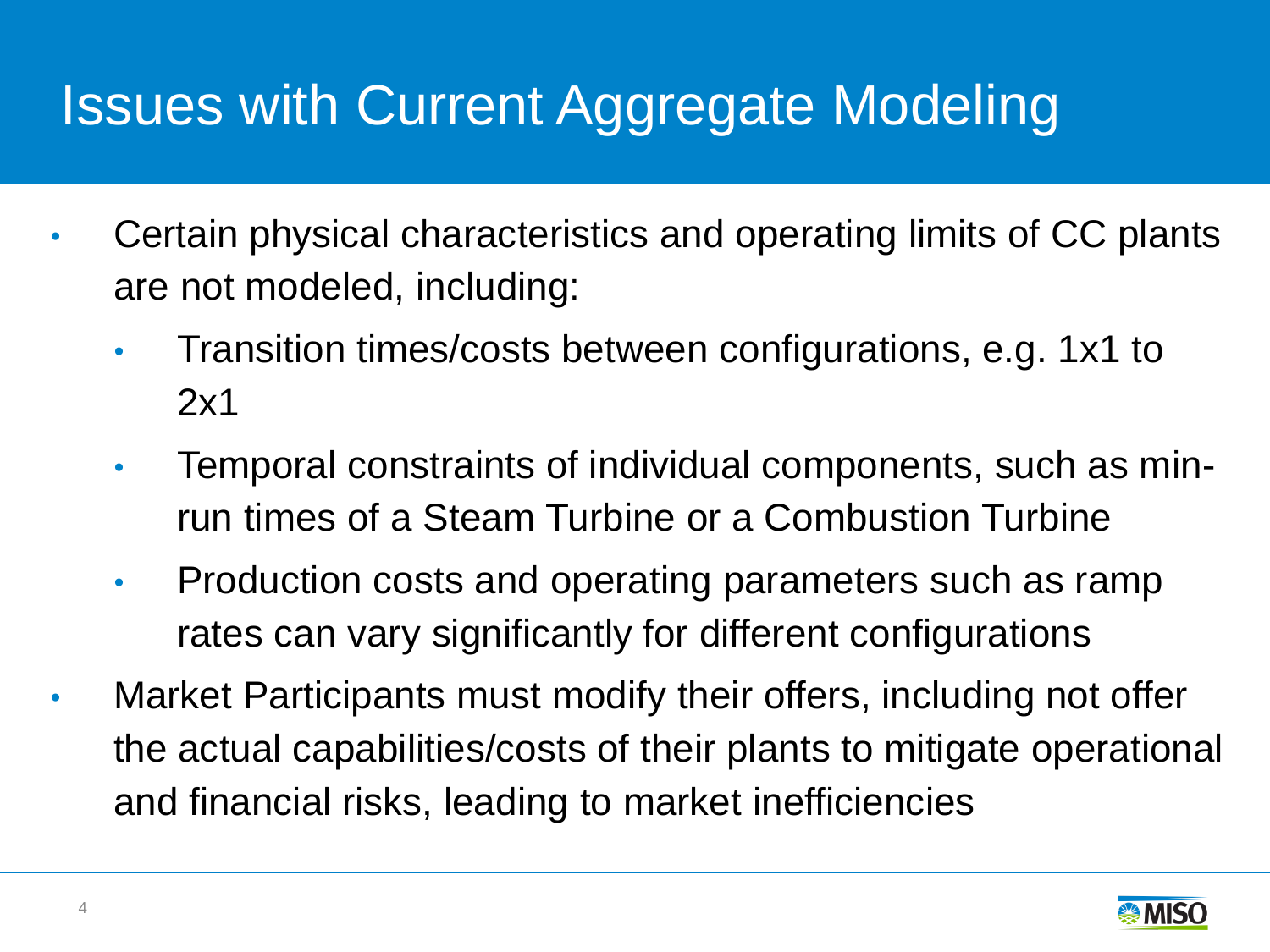## Issues with Current Aggregate Modeling

- Certain physical characteristics and operating limits of CC plants are not modeled, including:
	- Transition times/costs between configurations, e.g. 1x1 to 2x1
	- Temporal constraints of individual components, such as minrun times of a Steam Turbine or a Combustion Turbine
	- Production costs and operating parameters such as ramp rates can vary significantly for different configurations
- Market Participants must modify their offers, including not offer the actual capabilities/costs of their plants to mitigate operational and financial risks, leading to market inefficiencies

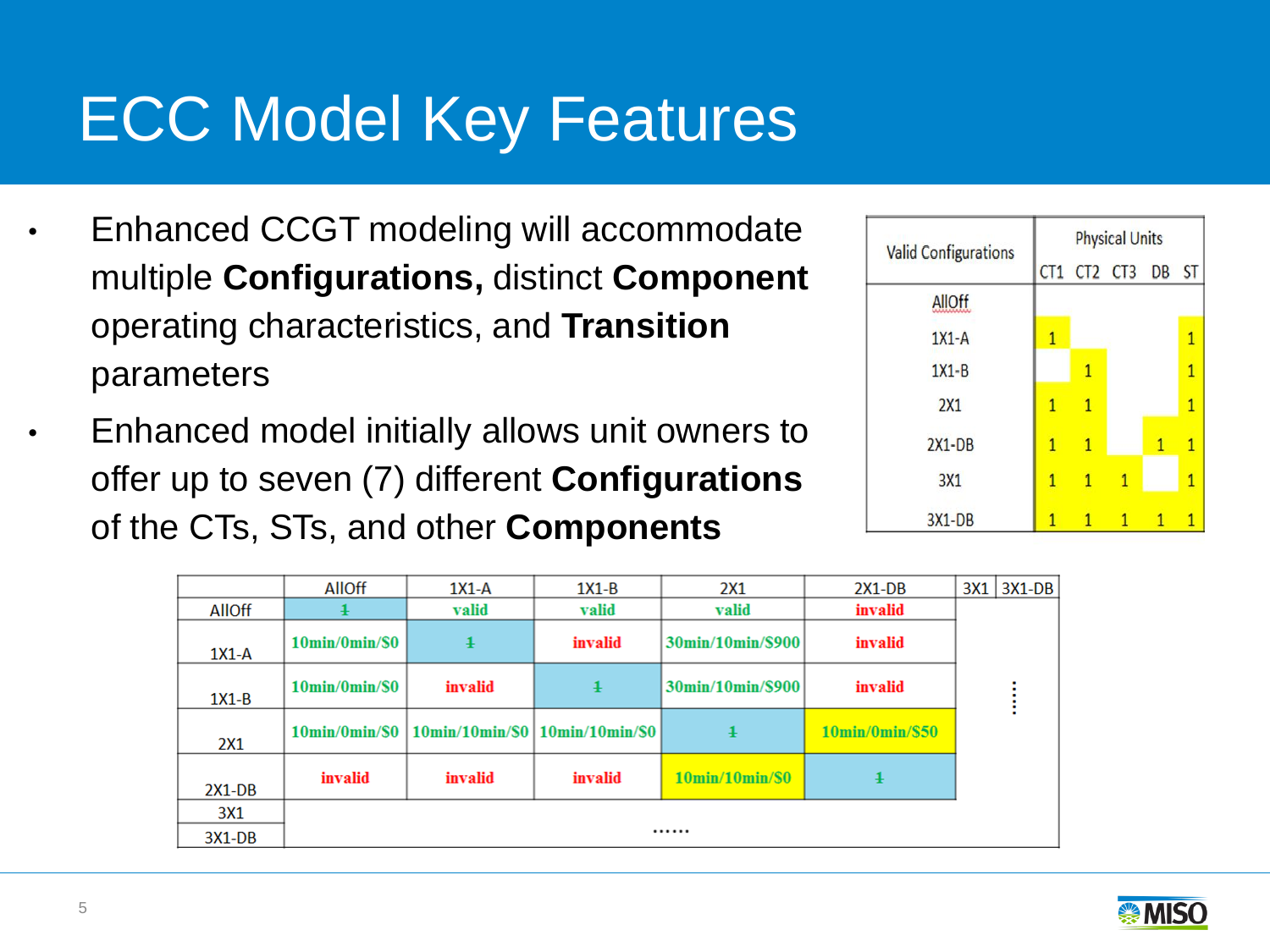## ECC Model Key Features

- Enhanced CCGT modeling will accommodate multiple **Configurations,** distinct **Component** operating characteristics, and **Transition**  parameters
- Enhanced model initially allows unit owners to offer up to seven (7) different **Configurations** of the CTs, STs, and other **Components**

| <b>Valid Configurations</b> | <b>Physical Units</b> |              |                |   |              |  |
|-----------------------------|-----------------------|--------------|----------------|---|--------------|--|
|                             |                       |              | CT1 CT2 CT3 DB |   | <b>ST</b>    |  |
| <b>AllOff</b>               |                       |              |                |   |              |  |
| $1X1-A$                     |                       |              |                |   | 1            |  |
| $1X1 - B$                   |                       | 1            |                |   | $\mathbf{1}$ |  |
| 2X1                         | 1                     | $\mathbf{1}$ |                |   | 1            |  |
| $2X1-DB$                    | 1                     | $\mathbf{1}$ |                | 1 | 1            |  |
| 3X1                         | 1                     | 1            | 1              |   | 1            |  |
| <b>3X1-DB</b>               | 1                     | 1            |                | 1 |              |  |

|               | <b>AllOff</b>                        | $1X1-A$                                            | $1X1-B$    | 2X1                                   | $2X1-DB$                        |  | $3X1$   $3X1-DB$ |
|---------------|--------------------------------------|----------------------------------------------------|------------|---------------------------------------|---------------------------------|--|------------------|
| <b>AllOff</b> |                                      | valid                                              | valid      | valid                                 | invalid                         |  |                  |
| $1X1-A$       | $10\text{min}/0\text{min}/\$0$       | $\ddagger$                                         | invalid    | 30min/10min/\$900                     | invalid                         |  |                  |
| $1X1-B$       | $10\text{min}/0\text{min}/\text{SO}$ | invalid                                            | $\ddagger$ | 30min/10min/\$900                     | invalid                         |  |                  |
| 2X1           |                                      | 10min/0min/\$0   10min/10min/\$0   10min/10min/\$0 |            | $\ddagger$                            | $10\text{min}/0\text{min}/\$50$ |  |                  |
| $2X1-DB$      | invalid                              | invalid                                            | invalid    | $10\text{min}/10\text{min}/\text{s}0$ | ł                               |  |                  |
| 3X1           |                                      |                                                    |            |                                       |                                 |  |                  |
| $3X1-DB$      |                                      |                                                    |            |                                       |                                 |  |                  |

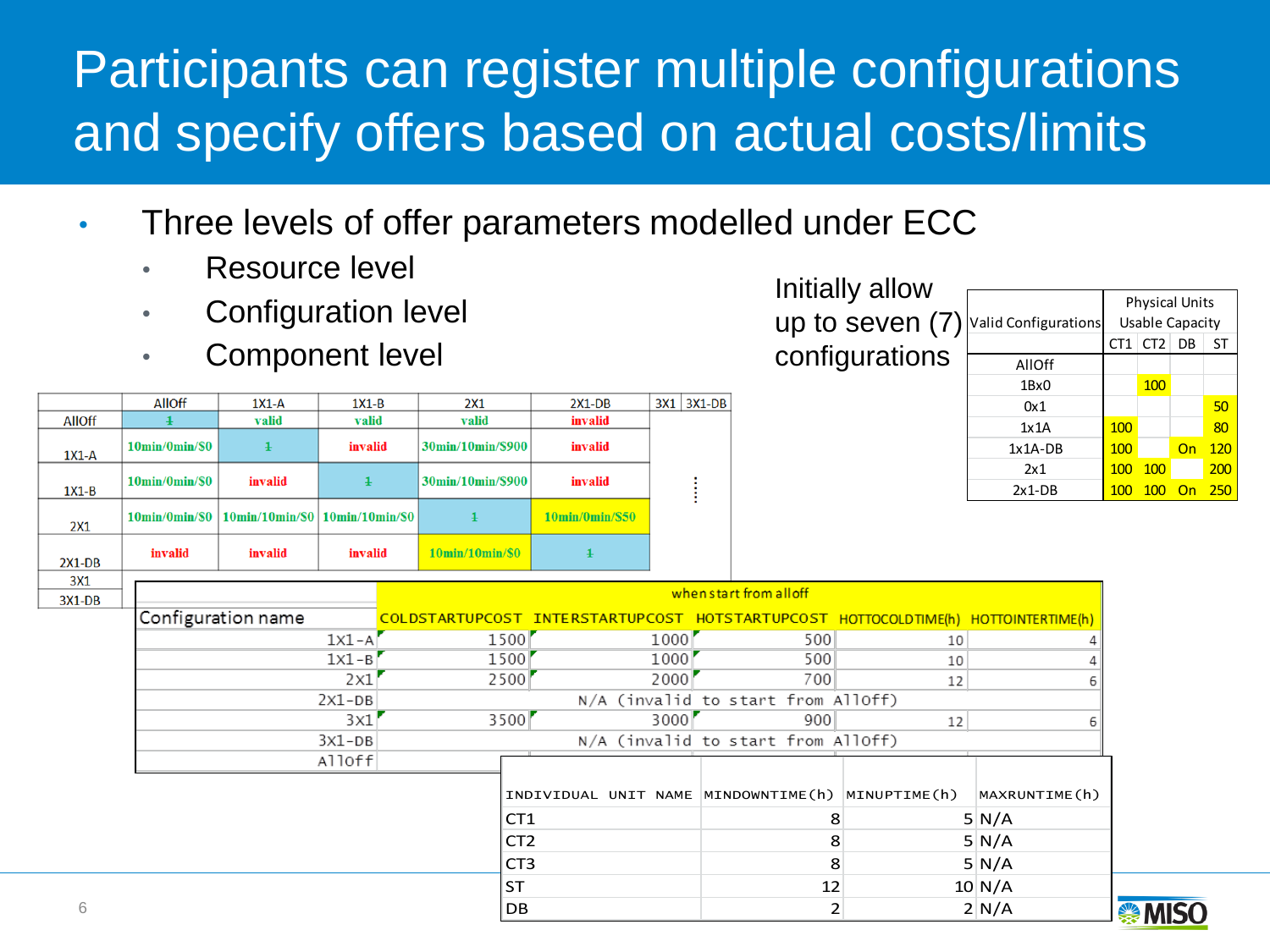#### Participants can register multiple configurations and specify offers based on actual costs/limits

- Three levels of offer parameters modelled under ECC
	- Resource level
	- Configuration level
	- Component level

|               | <b>AllOff</b>                  | $1X1-A$                                                                                         | $1X1-B$    | 2X1                                   | $2X1-DB$                        | $3X1$   $3X1-DB$ |
|---------------|--------------------------------|-------------------------------------------------------------------------------------------------|------------|---------------------------------------|---------------------------------|------------------|
| <b>AllOff</b> |                                | valid                                                                                           | valid      | valid                                 | invalid                         |                  |
| $1X1-A$       | $10\text{min}/0\text{min}/\$0$ |                                                                                                 | invalid    | 30min/10min/\$900                     | invalid                         |                  |
| $1X1-B$       | $10\text{min}/0\text{min}/\$0$ | invalid                                                                                         | $\ddagger$ | 30min/10min/\$900                     | invalid                         |                  |
| 2X1           |                                | $10\text{min}/0\text{min}/80$   $10\text{min}/10\text{min}/80$   $10\text{min}/10\text{min}/80$ |            | $\ddagger$                            | $10\text{min}/0\text{min}/\$50$ |                  |
| $2X1-DB$      | invalid                        | invalid                                                                                         | invalid    | $10\text{min}/10\text{min}/\text{SO}$ |                                 |                  |
| 3X1           |                                |                                                                                                 |            |                                       |                                 |                  |

| Initially allow         |  |
|-------------------------|--|
| up to seven $(7)$       |  |
| configurations $\vdash$ |  |

|     |                      | <b>Physical Units</b> |                 |    |     |
|-----|----------------------|-----------------------|-----------------|----|-----|
| (7) | Valid Configurations | Usable Capacity       |                 |    |     |
|     |                      | CT1                   | CT <sub>2</sub> | DB | ST  |
| າຣ  | AllOff               |                       |                 |    |     |
|     | 1Bx0                 |                       | 100             |    |     |
|     | 0x1                  |                       |                 |    | 50  |
|     | 1x1A                 | 100                   |                 |    | 80  |
|     | $1x1A-DB$            | 100                   |                 | On | 120 |
|     | 2x1                  | 100                   | 100             |    | 200 |
|     | $2x1-DB$             | 100                   | 10 K            |    | 250 |

| 3X1      |                         |                 |                                                                                    |                                    |              |                  |  |
|----------|-------------------------|-----------------|------------------------------------------------------------------------------------|------------------------------------|--------------|------------------|--|
| $3X1-DB$ | when start from all off |                 |                                                                                    |                                    |              |                  |  |
|          | Configuration name      |                 | COLDSTARTUPCOST INTERSTARTUPCOST HOTSTARTUPCOST HOTTOCOLDTIME(h) HOTTOINTERTIME(h) |                                    |              |                  |  |
|          | $1x1-A'$                | 1500            | 1000'                                                                              | 500                                | 10           |                  |  |
|          | $1x1 - B$               | 1500            | 1000                                                                               | 500                                | 10           |                  |  |
|          | 2x1                     | 2500            | 2000                                                                               | 700                                | 12           |                  |  |
|          | $2x1-DB$                |                 |                                                                                    | N/A (invalid to start from AllOff) |              |                  |  |
|          | 3x1                     | 3500            | 3000                                                                               | 900                                | 12           |                  |  |
|          | $3x1-DB$                |                 |                                                                                    | N/A (invalid to start from AllOff) |              |                  |  |
|          | Alloff                  |                 |                                                                                    |                                    |              |                  |  |
|          |                         |                 | INDIVIDUAL UNIT NAME MINDOWNTIME(h)                                                |                                    | MINUPTIME(h) | MAXRUNTIME(h)    |  |
|          |                         | CT <sub>1</sub> |                                                                                    | 8                                  |              | 5N/A             |  |
|          |                         | CT <sub>2</sub> |                                                                                    | 8                                  |              | 5N/A             |  |
|          |                         | CT <sub>3</sub> |                                                                                    | 8                                  |              | 5N/A             |  |
|          |                         | <b>ST</b>       |                                                                                    | 12                                 |              | $10 \text{ N/A}$ |  |
| 6        |                         | DB              |                                                                                    |                                    |              | 2 N/A            |  |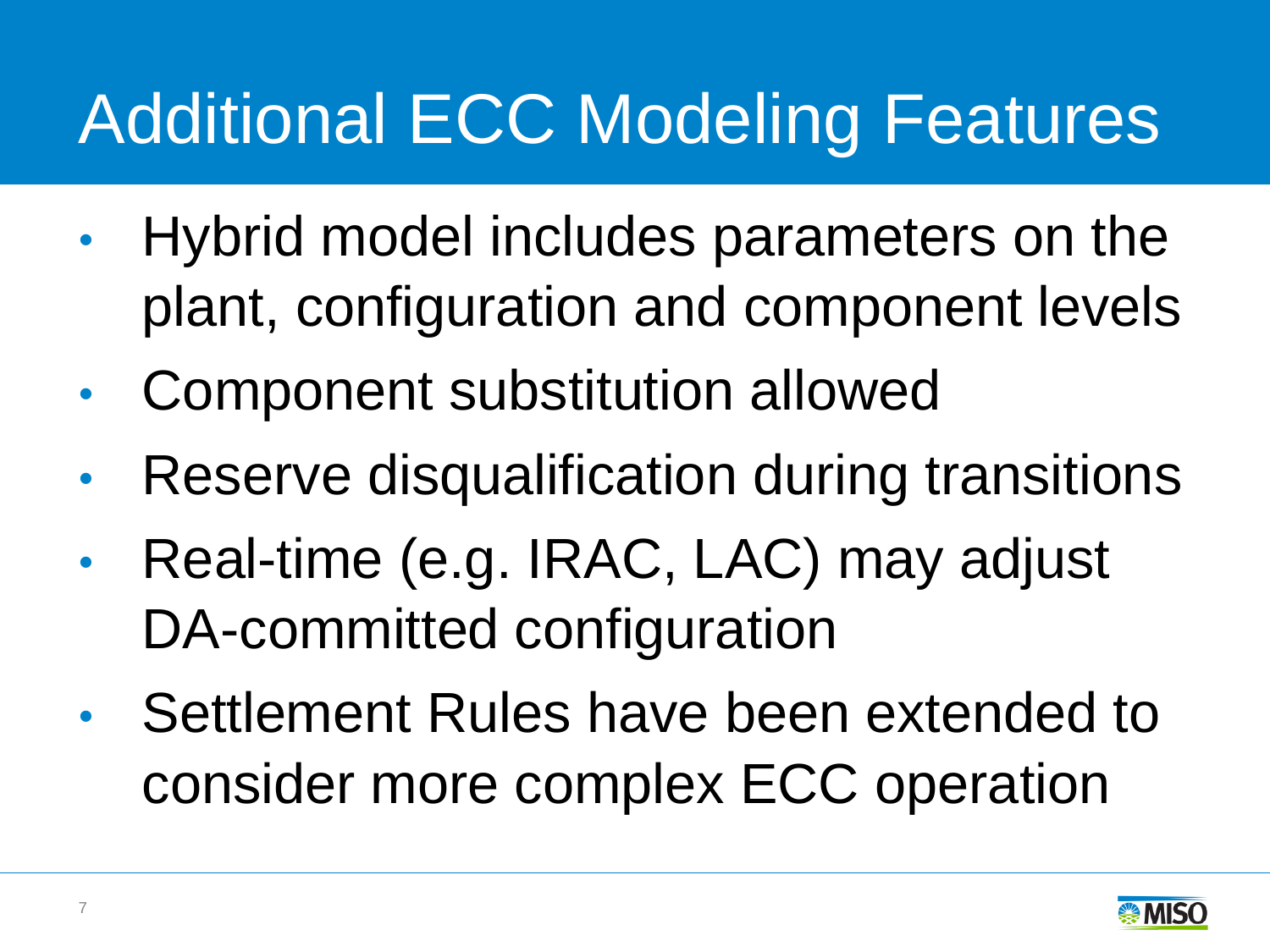# Additional ECC Modeling Features

- Hybrid model includes parameters on the plant, configuration and component levels
- Component substitution allowed
- Reserve disqualification during transitions
- Real-time (e.g. IRAC, LAC) may adjust DA-committed configuration
- Settlement Rules have been extended to consider more complex ECC operation

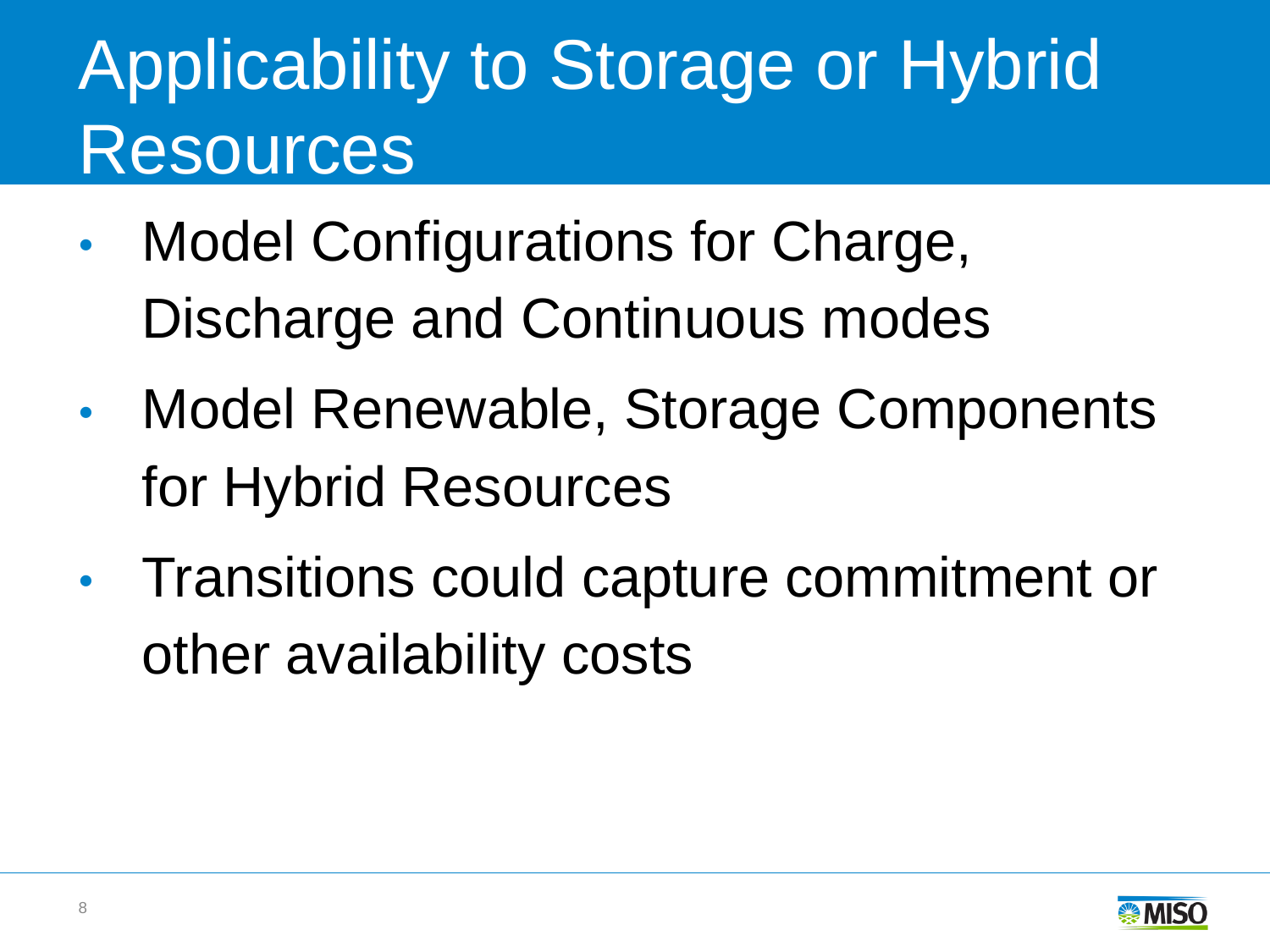# Applicability to Storage or Hybrid Resources

- Model Configurations for Charge, Discharge and Continuous modes
- Model Renewable, Storage Components for Hybrid Resources
- Transitions could capture commitment or other availability costs

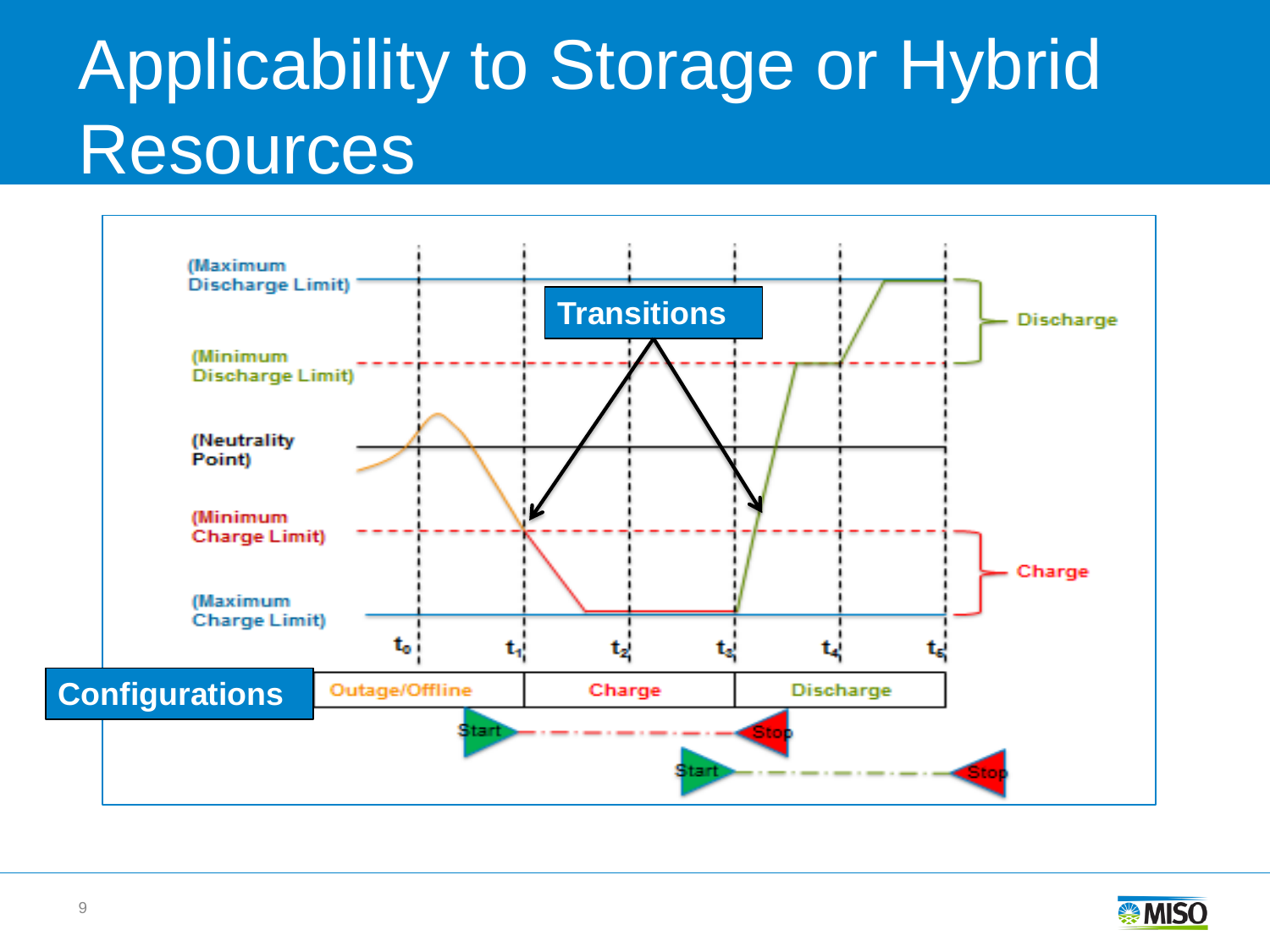# Applicability to Storage or Hybrid Resources